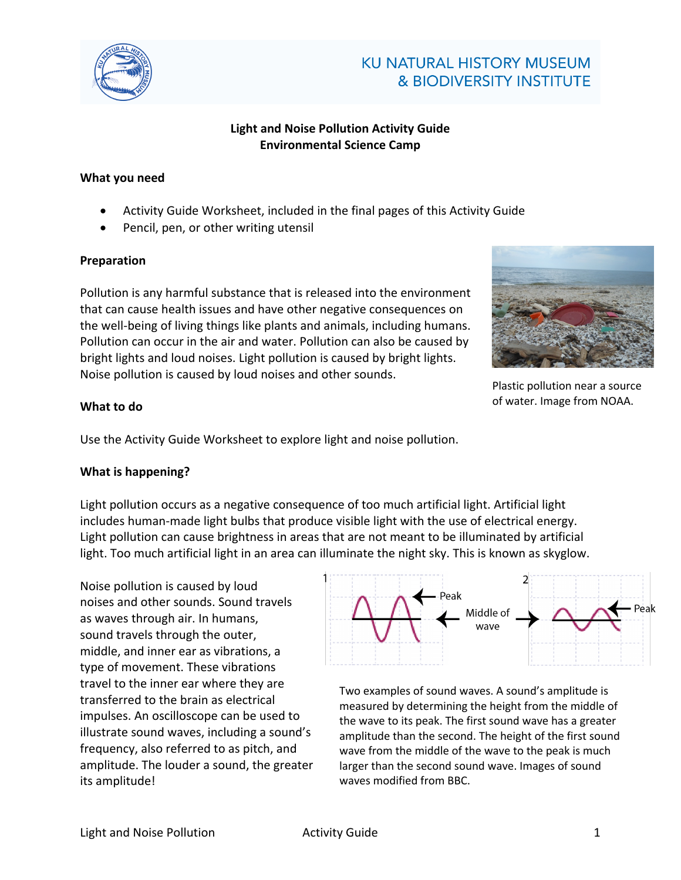

# **KU NATURAL HISTORY MUSEUM** & BIODIVERSITY INSTITUTE

## **Light and Noise Pollution Activity Guide Environmental Science Camp**

#### **What you need**

- Activity Guide Worksheet, included in the final pages of this Activity Guide
- Pencil, pen, or other writing utensil

#### **Preparation**

Pollution is any harmful substance that is released into the environment that can cause health issues and have other negative consequences on the well-being of living things like plants and animals, including humans. Pollution can occur in the air and water. Pollution can also be caused by bright lights and loud noises. Light pollution is caused by bright lights. Noise pollution is caused by loud noises and other sounds.



Plastic pollution near a source of water. Image from NOAA.

### **What to do**

Use the Activity Guide Worksheet to explore light and noise pollution.

### **What is happening?**

Light pollution occurs as a negative consequence of too much artificial light. Artificial light includes human-made light bulbs that produce visible light with the use of electrical energy. Light pollution can cause brightness in areas that are not meant to be illuminated by artificial light. Too much artificial light in an area can illuminate the night sky. This is known as skyglow.

Noise pollution is caused by loud noises and other sounds. Sound travels as waves through air. In humans, sound travels through the outer, middle, and inner ear as vibrations, a type of movement. These vibrations travel to the inner ear where they are transferred to the brain as electrical impulses. An oscilloscope can be used to illustrate sound waves, including a sound's frequency, also referred to as pitch, and amplitude. The louder a sound, the greater its amplitude!



Two examples of sound waves. A sound's amplitude is measured by determining the height from the middle of the wave to its peak. The first sound wave has a greater amplitude than the second. The height of the first sound wave from the middle of the wave to the peak is much larger than the second sound wave. Images of sound waves modified from BBC.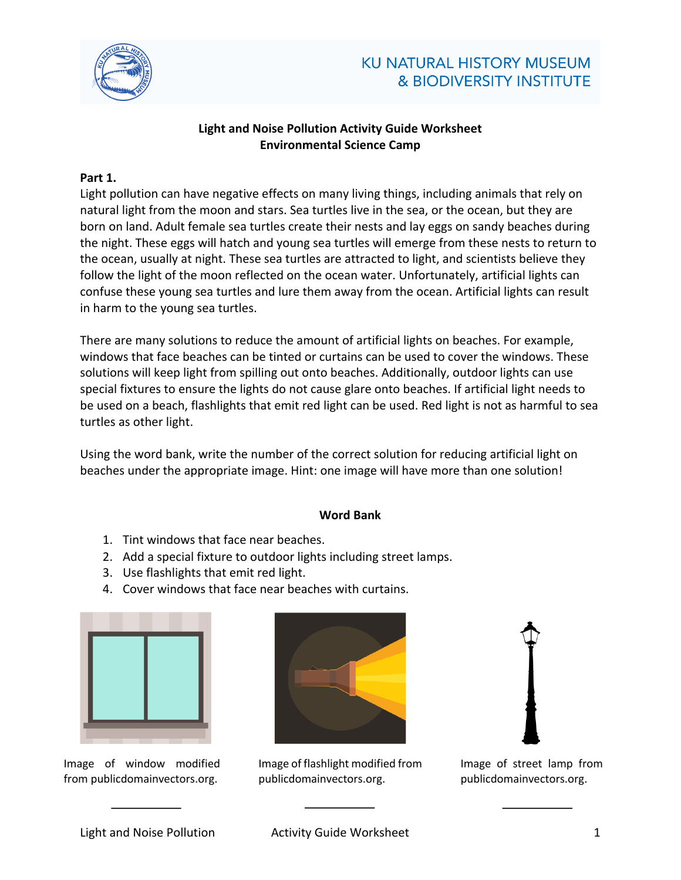

## **KU NATURAL HISTORY MUSEUM** & BIODIVERSITY INSTITUTE

## **Light and Noise Pollution Activity Guide Worksheet Environmental Science Camp**

### **Part 1.**

Light pollution can have negative effects on many living things, including animals that rely on natural light from the moon and stars. Sea turtles live in the sea, or the ocean, but they are born on land. Adult female sea turtles create their nests and lay eggs on sandy beaches during the night. These eggs will hatch and young sea turtles will emerge from these nests to return to the ocean, usually at night. These sea turtles are attracted to light, and scientists believe they follow the light of the moon reflected on the ocean water. Unfortunately, artificial lights can confuse these young sea turtles and lure them away from the ocean. Artificial lights can result in harm to the young sea turtles.

There are many solutions to reduce the amount of artificial lights on beaches. For example, windows that face beaches can be tinted or curtains can be used to cover the windows. These solutions will keep light from spilling out onto beaches. Additionally, outdoor lights can use special fixtures to ensure the lights do not cause glare onto beaches. If artificial light needs to be used on a beach, flashlights that emit red light can be used. Red light is not as harmful to sea turtles as other light.

Using the word bank, write the number of the correct solution for reducing artificial light on beaches under the appropriate image. Hint: one image will have more than one solution!

#### **Word Bank**

- 1. Tint windows that face near beaches.
- 2. Add a special fixture to outdoor lights including street lamps.
- 3. Use flashlights that emit red light.
- 4. Cover windows that face near beaches with curtains.



Image of window modified from publicdomainvectors.org.



Image of flashlight modified from publicdomainvectors.org.



Image of street lamp from publicdomainvectors.org.